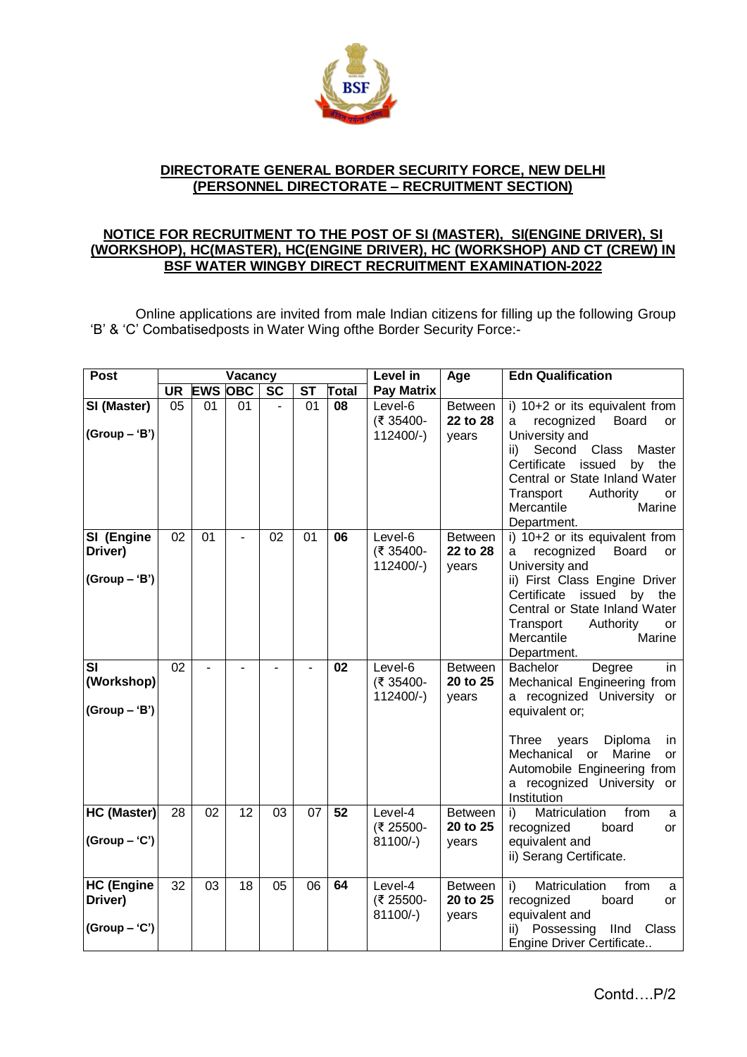

## **DIRECTORATE GENERAL BORDER SECURITY FORCE, NEW DELHI (PERSONNEL DIRECTORATE – RECRUITMENT SECTION)**

## **NOTICE FOR RECRUITMENT TO THE POST OF SI (MASTER), SI(ENGINE DRIVER), SI (WORKSHOP), HC(MASTER), HC(ENGINE DRIVER), HC (WORKSHOP) AND CT (CREW) IN BSF WATER WINGBY DIRECT RECRUITMENT EXAMINATION-2022**

Online applications are invited from male Indian citizens for filling up the following Group 'B' & 'C' Combatisedposts in Water Wing ofthe Border Security Force:-

| <b>Post</b>                                     |           |                | Vacancy         |           |           |                 | Level in                           | Age                                 | <b>Edn Qualification</b>                                                                                                                                                                                                                                                             |
|-------------------------------------------------|-----------|----------------|-----------------|-----------|-----------|-----------------|------------------------------------|-------------------------------------|--------------------------------------------------------------------------------------------------------------------------------------------------------------------------------------------------------------------------------------------------------------------------------------|
|                                                 | <b>UR</b> | <b>EWS</b>     | <b>OBC</b>      | <b>SC</b> | <b>ST</b> | Total           | <b>Pay Matrix</b>                  |                                     |                                                                                                                                                                                                                                                                                      |
| SI (Master)<br>$(Group - 'B')$                  | 05        | 01             | 01              |           | 01        | 08              | Level-6<br>(₹ 35400-<br>$112400/-$ | <b>Between</b><br>22 to 28<br>vears | i) $10+2$ or its equivalent from<br>recognized<br><b>Board</b><br>a<br><b>or</b><br>University and<br>Second<br>ii)<br>Class<br>Master<br>Certificate<br>issued<br>the<br>by<br>Central or State Inland Water<br>Transport<br>Authority<br>or<br>Marine<br>Mercantile<br>Department. |
| SI (Engine<br>Driver)<br>$(Group - 'B')$        | 02        | 01             |                 | 02        | 01        | 06              | Level-6<br>(₹ 35400-<br>$112400/-$ | <b>Between</b><br>22 to 28<br>years | i) 10+2 or its equivalent from<br>recognized<br>Board<br>a<br>or<br>University and<br>ii) First Class Engine Driver<br>Certificate<br>issued<br>by<br>the<br>Central or State Inland Water<br>Authority<br>Transport<br><b>or</b><br>Mercantile<br>Marine<br>Department.             |
| <b>SI</b><br>(Workshop)<br>$(Group - 'B')$      | 02        | $\overline{a}$ |                 | ÷.        | ÷.        | 02              | Level-6<br>(₹ 35400-<br>112400/-)  | <b>Between</b><br>20 to 25<br>years | <b>Bachelor</b><br>in<br>Degree<br>Mechanical Engineering from<br>a recognized University or<br>equivalent or;<br><b>Three</b><br>years<br>Diploma<br>in.<br>Marine<br>Mechanical<br>$\alpha$<br>or<br>Automobile Engineering from<br>a recognized University<br>or<br>Institution   |
| HC (Master)<br>$(Group - 'C')$                  | 28        | 02             | $\overline{12}$ | 03        | 07        | $\overline{52}$ | Level-4<br>(₹ 25500-<br>$81100/-$  | <b>Between</b><br>20 to 25<br>years | Matriculation<br>from<br>i)<br>a<br>recognized<br>board<br>or<br>equivalent and<br>ii) Serang Certificate.                                                                                                                                                                           |
| <b>HC (Engine</b><br>Driver)<br>$(Group - 'C')$ | 32        | 03             | 18              | 05        | 06        | 64              | Level-4<br>(₹ 25500-<br>$81100/-$  | <b>Between</b><br>20 to 25<br>years | Matriculation<br>from<br>i)<br>a<br>recognized<br>board<br>or<br>equivalent and<br>Possessing<br>IInd<br>ii)<br>Class<br>Engine Driver Certificate                                                                                                                                   |